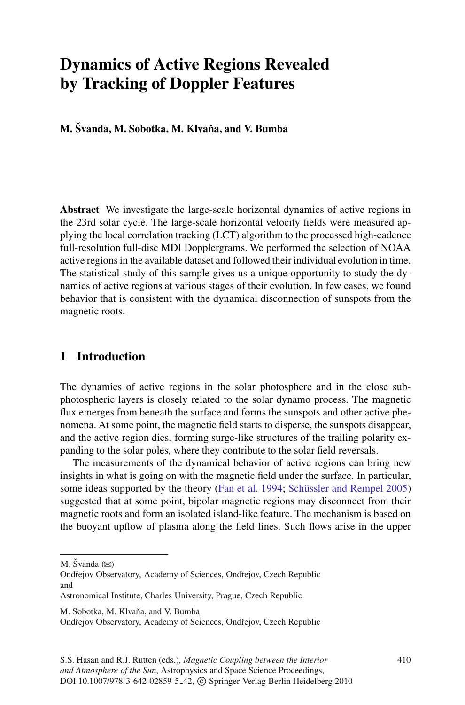# **Dynamics of Active Regions Revealed by Tracking of Doppler Features**

**M.** Švanda, M. Sobotka, M. Klvaňa, and V. Bumba

**Abstract** We investigate the large-scale horizontal dynamics of active regions in the 23rd solar cycle. The large-scale horizontal velocity fields were measured applying the local correlation tracking (LCT) algorithm to the processed high-cadence full-resolution full-disc MDI Dopplergrams. We performed the selection of NOAA active regions in the available dataset and followed their individual evolution in time. The statistical study of this sample gives us a unique opportunity to study the dynamics of active regions at various stages of their evolution. In few cases, we found behavior that is consistent with the dynamical disconnection of sunspots from the magnetic roots.

## **1 Introduction**

The dynamics of active regions in the solar photosphere and in the close subphotospheric layers is closely related to the solar dynamo process. The magnetic flux emerges from beneath the surface and forms the sunspots and other active phenomena. At some point, the magnetic field starts to disperse, the sunspots disappear, and the active region dies, forming surge-like structures of the trailing polarity expanding to the solar poles, where they contribute to the solar field reversals.

The measurements of the dynamical behavior of active regions can bring new insights in what is going on with the magnetic field under the surface. In particular, some ideas supported by the theory [\(Fan et al. 1994](#page-2-0); Schüssler and Rempel 2005) suggested that at some point, bipolar magnetic regions may disconnect from their magnetic roots and form an isolated island-like feature. The mechanism is based on the buoyant upflow of plasma along the field lines. Such flows arise in the upper

M. Švanda (⊠)

M. Sobotka, M. Klvaňa, and V. Bumba

Ondřejov Observatory, Academy of Sciences, Ondřejov, Czech Republic and

Astronomical Institute, Charles University, Prague, Czech Republic

Ondřejov Observatory, Academy of Sciences, Ondřejov, Czech Republic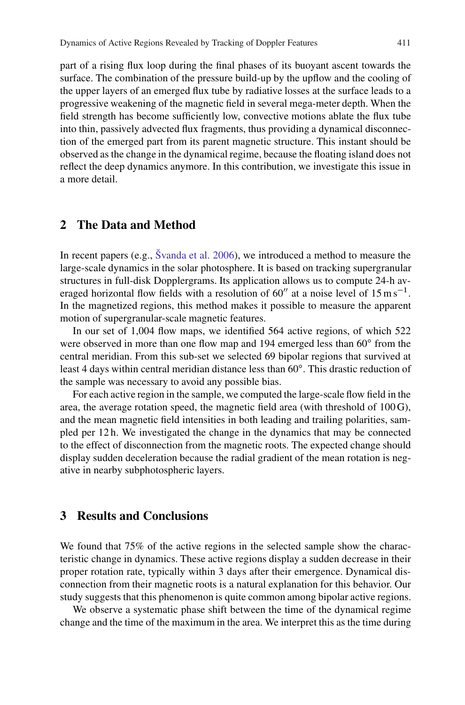part of a rising flux loop during the final phases of its buoyant ascent towards the surface. The combination of the pressure build-up by the upflow and the cooling of the upper layers of an emerged flux tube by radiative losses at the surface leads to a progressive weakening of the magnetic field in several mega-meter depth. When the field strength has become sufficiently low, convective motions ablate the flux tube into thin, passively advected flux fragments, thus providing a dynamical disconnection of the emerged part from its parent magnetic structure. This instant should be observed as the change in the dynamical regime, because the floating island does not reflect the deep dynamics anymore. In this contribution, we investigate this issue in a more detail.

## **2 The Data and Method**

In recent papers (e.g., Švanda et al.  $2006$ ), we introduced a method to measure the large-scale dynamics in the solar photosphere. It is based on tracking supergranular structures in full-disk Dopplergrams. Its application allows us to compute 24-h averaged horizontal flow fields with a resolution of 60" at a noise level of  $15 \text{ m s}^{-1}$ . In the magnetized regions, this method makes it possible to measure the apparent motion of supergranular-scale magnetic features.

In our set of 1,004 flow maps, we identified 564 active regions, of which 522 were observed in more than one flow map and 194 emerged less than 60° from the central meridian. From this sub-set we selected 69 bipolar regions that survived at least 4 days within central meridian distance less than  $60^\circ$ . This drastic reduction of the sample was necessary to avoid any possible bias.

For each active region in the sample, we computed the large-scale flow field in the area, the average rotation speed, the magnetic field area (with threshold of 100 G), and the mean magnetic field intensities in both leading and trailing polarities, sampled per 12 h. We investigated the change in the dynamics that may be connected to the effect of disconnection from the magnetic roots. The expected change should display sudden deceleration because the radial gradient of the mean rotation is negative in nearby subphotospheric layers.

### **3 Results and Conclusions**

We found that 75% of the active regions in the selected sample show the characteristic change in dynamics. These active regions display a sudden decrease in their proper rotation rate, typically within 3 days after their emergence. Dynamical disconnection from their magnetic roots is a natural explanation for this behavior. Our study suggests that this phenomenon is quite common among bipolar active regions.

We observe a systematic phase shift between the time of the dynamical regime change and the time of the maximum in the area. We interpret this as the time during